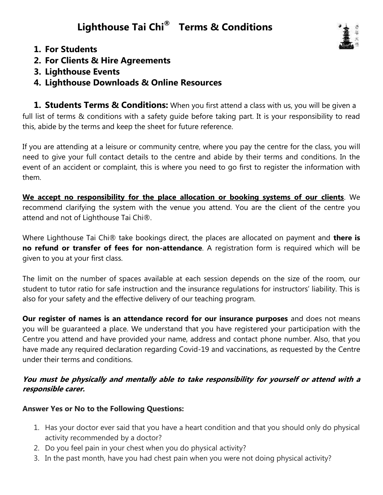# **Lighthouse Tai Chi® Terms & Conditions**



- **1. For Students**
- **2. For Clients & Hire Agreements**
- **3. Lighthouse Events**
- **4. Lighthouse Downloads & Online Resources**

**1. Students Terms & Conditions:** When you first attend a class with us, you will be given a full list of terms & conditions with a safety guide before taking part. It is your responsibility to read this, abide by the terms and keep the sheet for future reference.

If you are attending at a leisure or community centre, where you pay the centre for the class, you will need to give your full contact details to the centre and abide by their terms and conditions. In the event of an accident or complaint, this is where you need to go first to register the information with them.

**We accept no responsibility for the place allocation or booking systems of our clients**. We recommend clarifying the system with the venue you attend. You are the client of the centre you attend and not of Lighthouse Tai Chi®.

Where Lighthouse Tai Chi® take bookings direct, the places are allocated on payment and **there is no refund or transfer of fees for non-attendance**. A registration form is required which will be given to you at your first class.

The limit on the number of spaces available at each session depends on the size of the room, our student to tutor ratio for safe instruction and the insurance regulations for instructors' liability. This is also for your safety and the effective delivery of our teaching program.

**Our register of names is an attendance record for our insurance purposes** and does not means you will be guaranteed a place. We understand that you have registered your participation with the Centre you attend and have provided your name, address and contact phone number. Also, that you have made any required declaration regarding Covid-19 and vaccinations, as requested by the Centre under their terms and conditions.

## **You must be physically and mentally able to take responsibility for yourself or attend with a responsible carer.**

## **Answer Yes or No to the Following Questions:**

- 1. Has your doctor ever said that you have a heart condition and that you should only do physical activity recommended by a doctor?
- 2. Do you feel pain in your chest when you do physical activity?
- 3. In the past month, have you had chest pain when you were not doing physical activity?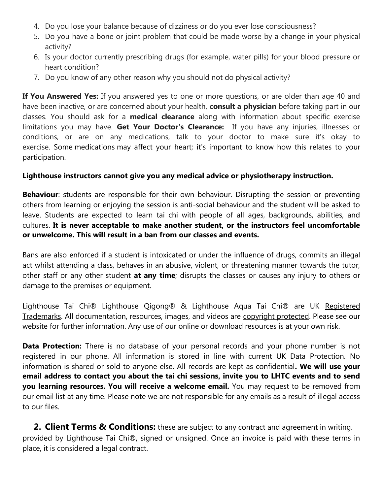- 4. Do you lose your balance because of dizziness or do you ever lose consciousness?
- 5. Do you have a bone or joint problem that could be made worse by a change in your physical activity?
- 6. Is your doctor currently prescribing drugs (for example, water pills) for your blood pressure or heart condition?
- 7. Do you know of any other reason why you should not do physical activity?

**If You Answered Yes:** If you answered yes to one or more questions, or are older than age 40 and have been inactive, or are concerned about your health, **consult a physician** before taking part in our classes. You should ask for a **medical clearance** along with information about specific exercise limitations you may have. **Get Your Doctor's Clearance:** If you have any injuries, illnesses or conditions, or are on any medications, talk to your doctor to make sure it's okay to exercise. Some medications may affect your heart; it's important to know how this relates to your participation.

#### **Lighthouse instructors cannot give you any medical advice or physiotherapy instruction.**

**Behaviour**: students are responsible for their own behaviour. Disrupting the session or preventing others from learning or enjoying the session is anti-social behaviour and the student will be asked to leave. Students are expected to learn tai chi with people of all ages, backgrounds, abilities, and cultures. **It is never acceptable to make another student, or the instructors feel uncomfortable or unwelcome. This will result in a ban from our classes and events.** 

Bans are also enforced if a student is intoxicated or under the influence of drugs, commits an illegal act whilst attending a class, behaves in an abusive, violent, or threatening manner towards the tutor, other staff or any other student **at any time**; disrupts the classes or causes any injury to others or damage to the premises or equipment.

Lighthouse Tai Chi® Lighthouse Qigong® & Lighthouse Aqua Tai Chi® are UK Registered Trademarks. All documentation, resources, images, and videos are copyright protected. Please see our website for further information. Any use of our online or download resources is at your own risk.

**Data Protection:** There is no database of your personal records and your phone number is not registered in our phone. All information is stored in line with current UK Data Protection. No information is shared or sold to anyone else. All records are kept as confidential**. We will use your email address to contact you about the tai chi sessions, invite you to LHTC events and to send you learning resources. You will receive a welcome email.** You may request to be removed from our email list at any time. Please note we are not responsible for any emails as a result of illegal access to our files.

**2. Client Terms & Conditions:** these are subject to any contract and agreement in writing. provided by Lighthouse Tai Chi®, signed or unsigned. Once an invoice is paid with these terms in place, it is considered a legal contract.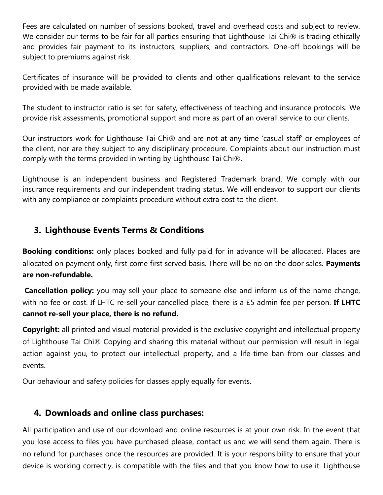Fees are calculated on number of sessions booked, travel and overhead costs and subject to review. We consider our terms to be fair for all parties ensuring that Lighthouse Tai Chi® is trading ethically and provides fair payment to its instructors, suppliers, and contractors. One-off bookings will be subject to premiums against risk.

Certificates of insurance will be provided to clients and other qualifications relevant to the service provided with be made available.

The student to instructor ratio is set for safety, effectiveness of teaching and insurance protocols. We provide risk assessments, promotional support and more as part of an overall service to our clients.

Our instructors work for Lighthouse Tai Chi® and are not at any time 'casual staff' or employees of the client, nor are they subject to any disciplinary procedure. Complaints about our instruction must comply with the terms provided in writing by Lighthouse Tai Chi®.

Lighthouse is an independent business and Registered Trademark brand. We comply with our insurance requirements and our independent trading status. We will endeavor to support our clients with any compliance or complaints procedure without extra cost to the client.

# **3. Lighthouse Events Terms & Conditions**

**Booking conditions:** only places booked and fully paid for in advance will be allocated. Places are allocated on payment only, first come first served basis. There will be no on the door sales. **Payments are non-refundable.**

**Cancellation policy:** you may sell your place to someone else and inform us of the name change, with no fee or cost. If LHTC re-sell your cancelled place, there is a £5 admin fee per person. **If LHTC cannot re-sell your place, there is no refund.** 

**Copyright:** all printed and visual material provided is the exclusive copyright and intellectual property of Lighthouse Tai Chi® Copying and sharing this material without our permission will result in legal action against you, to protect our intellectual property, and a life-time ban from our classes and events.

Our behaviour and safety policies for classes apply equally for events.

## **4. Downloads and online class purchases:**

All participation and use of our download and online resources is at your own risk. In the event that you lose access to files you have purchased please, contact us and we will send them again. There is no refund for purchases once the resources are provided. It is your responsibility to ensure that your device is working correctly, is compatible with the files and that you know how to use it. Lighthouse